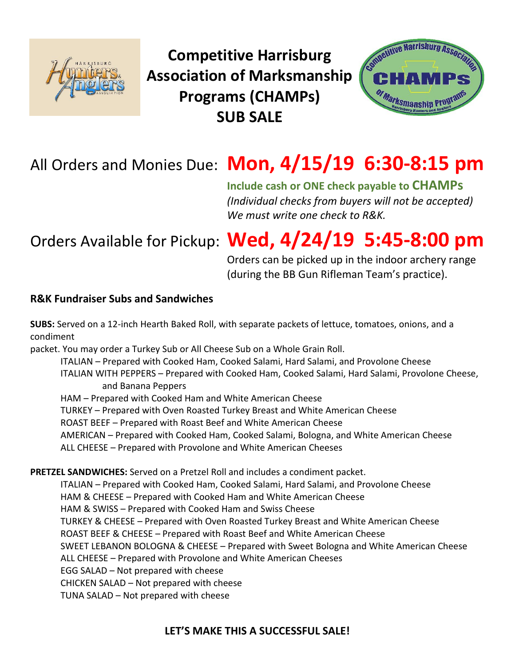

**Competitive Harrisburg Association of Marksmanship Programs (CHAMPs) SUB SALE**



## All Orders and Monies Due: **Mon, 4/15/19 6:30-8:15 pm**

**Include cash or ONE check payable to CHAMPs** *(Individual checks from buyers will not be accepted) We must write one check to R&K.*

# Orders Available for Pickup: **Wed, 4/24/19 5:45-8:00 pm**

Orders can be picked up in the indoor archery range (during the BB Gun Rifleman Team's practice).

### **R&K Fundraiser Subs and Sandwiches**

**SUBS:** Served on a 12-inch Hearth Baked Roll, with separate packets of lettuce, tomatoes, onions, and a condiment

packet. You may order a Turkey Sub or All Cheese Sub on a Whole Grain Roll.

ITALIAN – Prepared with Cooked Ham, Cooked Salami, Hard Salami, and Provolone Cheese ITALIAN WITH PEPPERS – Prepared with Cooked Ham, Cooked Salami, Hard Salami, Provolone Cheese, and Banana Peppers

HAM – Prepared with Cooked Ham and White American Cheese TURKEY – Prepared with Oven Roasted Turkey Breast and White American Cheese ROAST BEEF – Prepared with Roast Beef and White American Cheese AMERICAN – Prepared with Cooked Ham, Cooked Salami, Bologna, and White American Cheese ALL CHEESE – Prepared with Provolone and White American Cheeses

**PRETZEL SANDWICHES:** Served on a Pretzel Roll and includes a condiment packet.

ITALIAN – Prepared with Cooked Ham, Cooked Salami, Hard Salami, and Provolone Cheese HAM & CHEESE – Prepared with Cooked Ham and White American Cheese HAM & SWISS – Prepared with Cooked Ham and Swiss Cheese TURKEY & CHEESE – Prepared with Oven Roasted Turkey Breast and White American Cheese ROAST BEEF & CHEESE – Prepared with Roast Beef and White American Cheese SWEET LEBANON BOLOGNA & CHEESE – Prepared with Sweet Bologna and White American Cheese ALL CHEESE – Prepared with Provolone and White American Cheeses EGG SALAD – Not prepared with cheese CHICKEN SALAD – Not prepared with cheese TUNA SALAD – Not prepared with cheese

### **LET'S MAKE THIS A SUCCESSFUL SALE!**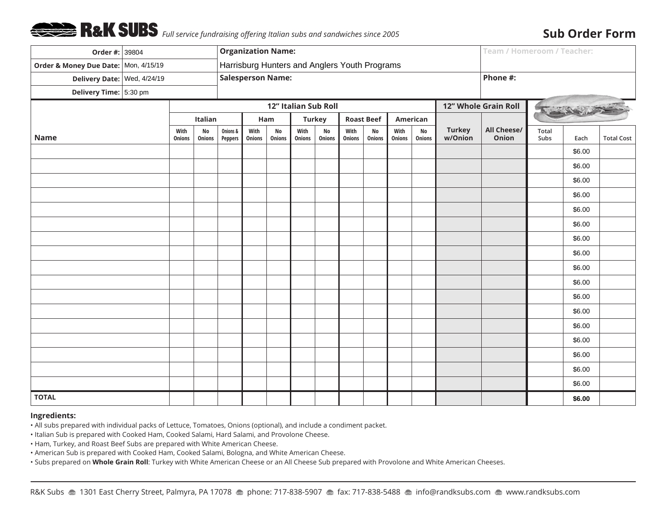

### **Sub Order Form**

| Order #: 39804                       |  |                       |                     | <b>Organization Name:</b>                     |                          |                      |                |                     |                   |                     |                |                     |                                         | <b>Team / Homeroom / Teacher:</b> |               |        |                   |
|--------------------------------------|--|-----------------------|---------------------|-----------------------------------------------|--------------------------|----------------------|----------------|---------------------|-------------------|---------------------|----------------|---------------------|-----------------------------------------|-----------------------------------|---------------|--------|-------------------|
| Order & Money Due Date: Mon, 4/15/19 |  |                       |                     | Harrisburg Hunters and Anglers Youth Programs |                          |                      |                |                     |                   |                     |                |                     |                                         |                                   |               |        |                   |
| Delivery Date: Wed, 4/24/19          |  |                       |                     |                                               | <b>Salesperson Name:</b> |                      |                |                     | Phone #:          |                     |                |                     |                                         |                                   |               |        |                   |
| Delivery Time: $ 5:30$ pm            |  |                       |                     |                                               |                          |                      |                |                     |                   |                     |                |                     |                                         |                                   |               |        |                   |
|                                      |  |                       |                     |                                               |                          | 12" Italian Sub Roll |                |                     |                   |                     |                |                     | 12" Whole Grain Roll<br>PASSAGE AND THE |                                   |               |        |                   |
|                                      |  |                       | Italian             |                                               | Ham                      |                      | <b>Turkey</b>  |                     | <b>Roast Beef</b> |                     | American       |                     |                                         |                                   |               |        |                   |
| <b>Name</b>                          |  | With<br><b>Onions</b> | <b>No</b><br>Onions | Onions &<br>Peppers                           | With<br>Onions           | <b>No</b><br>Onions  | With<br>Onions | <b>No</b><br>Onions | With<br>Onions    | <b>No</b><br>Onions | With<br>Onions | <b>No</b><br>Onions | <b>Turkey</b><br>w/Onion                | All Cheese/<br>Onion              | Total<br>Subs | Each   | <b>Total Cost</b> |
|                                      |  |                       |                     |                                               |                          |                      |                |                     |                   |                     |                |                     |                                         |                                   |               | \$6.00 |                   |
|                                      |  |                       |                     |                                               |                          |                      |                |                     |                   |                     |                |                     |                                         |                                   |               | \$6.00 |                   |
|                                      |  |                       |                     |                                               |                          |                      |                |                     |                   |                     |                |                     |                                         |                                   |               | \$6.00 |                   |
|                                      |  |                       |                     |                                               |                          |                      |                |                     |                   |                     |                |                     |                                         |                                   |               | \$6.00 |                   |
|                                      |  |                       |                     |                                               |                          |                      |                |                     |                   |                     |                |                     |                                         |                                   |               | \$6.00 |                   |
|                                      |  |                       |                     |                                               |                          |                      |                |                     |                   |                     |                |                     |                                         |                                   |               | \$6.00 |                   |
|                                      |  |                       |                     |                                               |                          |                      |                |                     |                   |                     |                |                     |                                         |                                   |               | \$6.00 |                   |
|                                      |  |                       |                     |                                               |                          |                      |                |                     |                   |                     |                |                     |                                         |                                   |               | \$6.00 |                   |
|                                      |  |                       |                     |                                               |                          |                      |                |                     |                   |                     |                |                     |                                         |                                   |               | \$6.00 |                   |
|                                      |  |                       |                     |                                               |                          |                      |                |                     |                   |                     |                |                     |                                         |                                   |               | \$6.00 |                   |
|                                      |  |                       |                     |                                               |                          |                      |                |                     |                   |                     |                |                     |                                         |                                   |               | \$6.00 |                   |
|                                      |  |                       |                     |                                               |                          |                      |                |                     |                   |                     |                |                     |                                         |                                   |               | \$6.00 |                   |
|                                      |  |                       |                     |                                               |                          |                      |                |                     |                   |                     |                |                     |                                         |                                   |               | \$6.00 |                   |
|                                      |  |                       |                     |                                               |                          |                      |                |                     |                   |                     |                |                     |                                         |                                   |               | \$6.00 |                   |
|                                      |  |                       |                     |                                               |                          |                      |                |                     |                   |                     |                |                     |                                         |                                   |               | \$6.00 |                   |
|                                      |  |                       |                     |                                               |                          |                      |                |                     |                   |                     |                |                     |                                         |                                   |               | \$6.00 |                   |
|                                      |  |                       |                     |                                               |                          |                      |                |                     |                   |                     |                |                     |                                         |                                   |               | \$6.00 |                   |
| <b>TOTAL</b>                         |  |                       |                     |                                               |                          |                      |                |                     |                   |                     |                |                     |                                         |                                   |               | \$6.00 |                   |

#### **Ingredients:**

• All subs prepared with individual packs of Lettuce, Tomatoes, Onions (optional), and include a condiment packet.

• Italian Sub is prepared with Cooked Ham, Cooked Salami, Hard Salami, and Provolone Cheese.

• Ham, Turkey, and Roast Beef Subs are prepared with White American Cheese.

• American Sub is prepared with Cooked Ham, Cooked Salami, Bologna, and White American Cheese.

• Subs prepared on **Whole Grain Roll**: Turkey with White American Cheese or an All Cheese Sub prepared with Provolone and White American Cheeses.